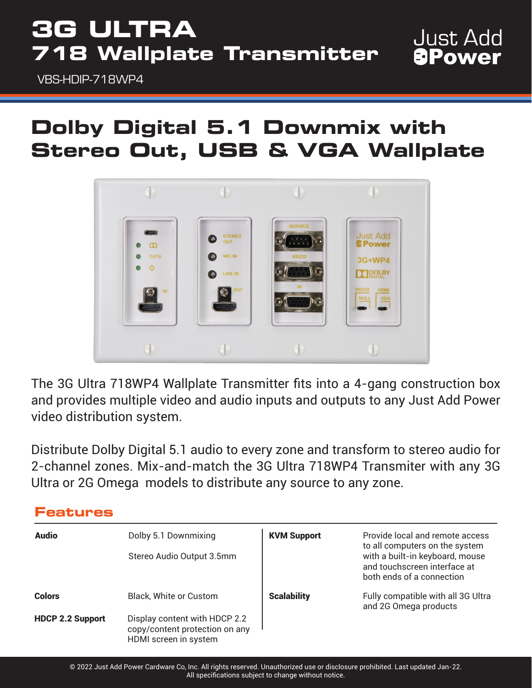## **3G ULTRA 718 Wallplate Transmitter**

VBS-HDIP-718WP4

### **Dolby Digital 5.1 Downmix with Stereo Out, USB & VGA Wallplate**

**Just Add APower** 



The 3G Ultra 718WP4 Wallplate Transmitter fits into a 4-gang construction box and provides multiple video and audio inputs and outputs to any Just Add Power video distribution system.

Distribute Dolby Digital 5.1 audio to every zone and transform to stereo audio for 2-channel zones. Mix-and-match the 3G Ultra 718WP4 Transmiter with any 3G Ultra or 2G Omega models to distribute any source to any zone.

| <b>Audio</b>            | Dolby 5.1 Downmixing<br>Stereo Audio Output 3.5mm                                        | <b>KVM Support</b> | Provide local and remote access<br>to all computers on the system<br>with a built-in keyboard, mouse<br>and touchscreen interface at<br>both ends of a connection |
|-------------------------|------------------------------------------------------------------------------------------|--------------------|-------------------------------------------------------------------------------------------------------------------------------------------------------------------|
|                         |                                                                                          |                    |                                                                                                                                                                   |
| <b>Colors</b>           | <b>Black, White or Custom</b>                                                            | <b>Scalability</b> | Fully compatible with all 3G Ultra<br>and 2G Omega products                                                                                                       |
| <b>HDCP 2.2 Support</b> | Display content with HDCP 2.2<br>copy/content protection on any<br>HDMI screen in system |                    |                                                                                                                                                                   |

#### **Features**